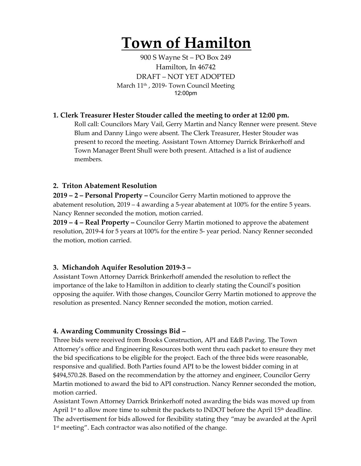# **Town of Hamilton**

900 S Wayne St – PO Box 249 Hamilton, In 46742 DRAFT – NOT YET ADOPTED March 11<sup>th</sup>, 2019- Town Council Meeting 12:00pm

#### **1. Clerk Treasurer Hester Stouder called the meeting to order at 12:00 pm.**

Roll call: Councilors Mary Vail, Gerry Martin and Nancy Renner were present. Steve Blum and Danny Lingo were absent. The Clerk Treasurer, Hester Stouder was present to record the meeting. Assistant Town Attorney Darrick Brinkerhoff and Town Manager Brent Shull were both present. Attached is a list of audience members.

#### **2. Triton Abatement Resolution**

**2019 – 2 – Personal Property –** Councilor Gerry Martin motioned to approve the abatement resolution, 2019 – 4 awarding a 5-year abatement at 100% for the entire 5 years. Nancy Renner seconded the motion, motion carried.

**2019 – 4 – Real Property –** Councilor Gerry Martin motioned to approve the abatement resolution, 2019-4 for 5 years at 100% for the entire 5- year period. Nancy Renner seconded the motion, motion carried.

## **3. Michandoh Aquifer Resolution 2019-3 –**

Assistant Town Attorney Darrick Brinkerhoff amended the resolution to reflect the importance of the lake to Hamilton in addition to clearly stating the Council's position opposing the aquifer. With those changes, Councilor Gerry Martin motioned to approve the resolution as presented. Nancy Renner seconded the motion, motion carried.

## **4. Awarding Community Crossings Bid –**

Three bids were received from Brooks Construction, API and E&B Paving. The Town Attorney's office and Engineering Resources both went thru each packet to ensure they met the bid specifications to be eligible for the project. Each of the three bids were reasonable, responsive and qualified. Both Parties found API to be the lowest bidder coming in at \$494,570.28. Based on the recommendation by the attorney and engineer, Councilor Gerry Martin motioned to award the bid to API construction. Nancy Renner seconded the motion, motion carried.

Assistant Town Attorney Darrick Brinkerhoff noted awarding the bids was moved up from April 1<sup>st</sup> to allow more time to submit the packets to INDOT before the April 15<sup>th</sup> deadline. The advertisement for bids allowed for flexibility stating they "may be awarded at the April 1<sup>st</sup> meeting". Each contractor was also notified of the change.